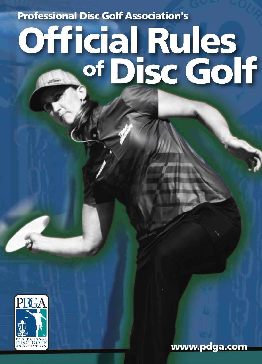**Professional Disc Golf Association's** 

# Official Rules<br>of Disc Golf



www.pdga.com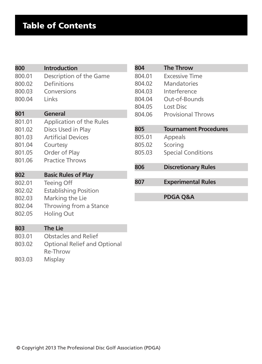# Table of Contents

| 800    | <b>Introduction</b>                             |
|--------|-------------------------------------------------|
| 800.01 | Description of the Game                         |
| 800.02 | Definitions                                     |
| 800.03 | Conversions                                     |
| 800.04 | Links                                           |
| 801    | General                                         |
| 801.01 | Application of the Rules                        |
| 801.02 | Discs Used in Play                              |
| 801.03 | <b>Artificial Devices</b>                       |
| 801.04 | Courtesy                                        |
| 801.05 | Order of Play                                   |
| 801.06 | <b>Practice Throws</b>                          |
| 802    | <b>Basic Rules of Play</b>                      |
| 802.01 | Teeing Off                                      |
| 802.02 | <b>Establishing Position</b>                    |
| 802.03 | Marking the Lie                                 |
| 802.04 | Throwing from a Stance                          |
| 802.05 | Holing Out                                      |
| 803    | <b>The Lie</b>                                  |
| 803.01 | <b>Obstacles and Relief</b>                     |
| 803.02 | <b>Optional Relief and Optional</b><br>Re-Throw |
| 803.03 | Misplay                                         |

| 804    | <b>The Throw</b>             |  |
|--------|------------------------------|--|
| 804.01 | <b>Excessive Time</b>        |  |
| 804.02 | Mandatories                  |  |
| 804.03 | Interference                 |  |
| 804.04 | Out-of-Bounds                |  |
| 804.05 | Lost Disc                    |  |
| 804.06 | <b>Provisional Throws</b>    |  |
|        |                              |  |
| 805    | <b>Tournament Procedures</b> |  |
| 805.01 | Appeals                      |  |
| 805.02 | Scoring                      |  |
| 805.03 | <b>Special Conditions</b>    |  |
|        |                              |  |
| 806    | <b>Discretionary Rules</b>   |  |
|        |                              |  |
| 807    | <b>Experimental Rules</b>    |  |
|        |                              |  |
|        | PDGA Q&A                     |  |
|        |                              |  |
|        |                              |  |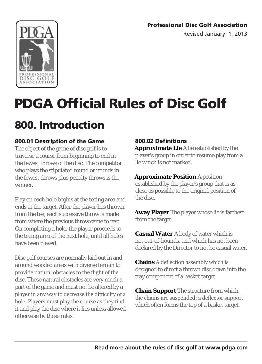Professional Disc Golf Association

Revised January 1, 2013



# PDGA Official Rules of Disc Golf

# **800. Introduction**<br>800.01 Description of the Game

The object of the game of disc golf is to traverse a course from beginning to end in the fewest throws of the disc. The competitor who plays the stipulated round or rounds in the fewest throws plus penalty throws is the winner.

Play on each hole begins at the teeing area and ends at the target. After the player has thrown from the tee, each successive throw is made from where the previous throw came to rest. On completing a hole, the player proceeds to the teeing area of the next hole, until all holes have been played.

Disc golf courses are normally laid out in and around wooded areas with diverse terrain to provide natural obstacles to the flight of the disc. These natural obstacles are very much a part of the game and must not be altered by a player in any way to decrease the difficulty of a hole. Players must play the course as they find it and play the disc where it lies unless allowed otherwise by these rules.

#### 800.02 Definitions

**Approximate Lie** A lie established by the player's group in order to resume play from a lie which is not marked.

**Approximate Position** A position established by the player's group that is as close as possible to the original position of the disc.

**Away Player** The player whose lie is farthest from the target.

**Casual Water** A body of water which is not out-of-bounds, and which has not been declared by the Director to not be casual water.

**Chains** A deflection assembly which is designed to direct a thrown disc down into the tray component of a basket target.

**Chain Support** The structure from which the chains are suspended; a deflector support which often forms the top of a basket target.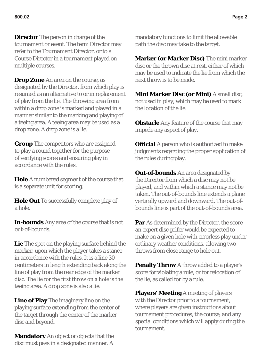**Director** The person in charge of the tournament or event. The term Director may refer to the Tournament Director, or to a Course Director in a tournament played on multiple courses.

**Drop Zone** An area on the course, as designated by the Director, from which play is resumed as an alternative to or in replacement of play from the lie. The throwing area from within a drop zone is marked and played in a manner similar to the marking and playing of a teeing area. A teeing area may be used as a drop zone. A drop zone is a lie.

**Group** The competitors who are assigned to play a round together for the purpose of verifying scores and ensuring play in accordance with the rules.

**Hole** A numbered segment of the course that is a separate unit for scoring.

**Hole Out** To successfully complete play of a hole.

**In-bounds** Any area of the course that is not out-of-bounds.

**Lie** The spot on the playing surface behind the marker, upon which the player takes a stance in accordance with the rules. It is a line 30 centimeters in length extending back along the line of play from the rear edge of the marker disc. The lie for the first throw on a hole is the teeing area. A drop zone is also a lie.

**Line of Play** The imaginary line on the playing surface extending from the center of the target through the center of the marker disc and beyond.

**Mandatory** An object or objects that the disc must pass in a designated manner. A mandatory functions to limit the allowable path the disc may take to the target.

**Marker (or Marker Disc)** The mini marker disc or the thrown disc at rest, either of which may be used to indicate the lie from which the next throw is to be made.

**Mini Marker Disc (or Mini)** A small disc, not used in play, which may be used to mark the location of the lie.

**Obstacle** Any feature of the course that may impede any aspect of play.

**Official** A person who is authorized to make judgments regarding the proper application of the rules during play.

**Out-of-bounds** An area designated by the Director from which a disc may not be played, and within which a stance may not be taken. The out-of-bounds line extends a plane vertically upward and downward. The out-ofbounds line is part of the out-of-bounds area.

**Par** As determined by the Director, the score an expert disc golfer would be expected to make on a given hole with errorless play under ordinary weather conditions, allowing two throws from close range to hole out.

**Penalty Throw** A throw added to a player's score for violating a rule, or for relocation of the lie, as called for by a rule.

**Players' Meeting** A meeting of players with the Director prior to a tournament, where players are given instructions about tournament procedures, the course, and any special conditions which will apply during the tournament.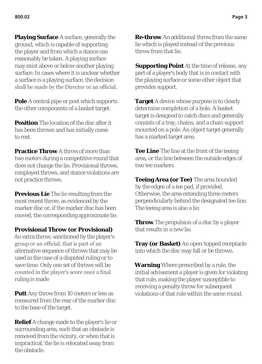**Playing Surface** A surface, generally the ground, which is capable of supporting the player and from which a stance can reasonably be taken. A playing surface may exist above or below another playing surface. In cases where it is unclear whether a surface is a playing surface, the decision shall be made by the Director or an official.

**Pole** A central pipe or post which supports the other components of a basket target.

**Position** The location of the disc after it has been thrown and has initially come to rest.

**Practice Throw** A throw of more than two meters during a competitive round that does not change the lie. Provisional throws, misplayed throws, and stance violations are not practice throws.

**Previous Lie** The lie resulting from the most recent throw, as evidenced by the marker disc or, if the marker disc has been moved, the corresponding approximate lie.

#### **Provisional Throw (or Provisional)**

An extra throw, sanctioned by the player's group or an official, that is part of an alternative sequence of throws that may be used in the case of a disputed ruling or to save time. Only one set of throws will be counted in the player's score once a final ruling is made

**Putt** Any throw from 10 meters or less as measured from the rear of the marker disc to the base of the target.

**Relief** A change made to the player's lie or surrounding area, such that an obstacle is removed from the vicinity, or when that is impractical, the lie is relocated away from the obstacle.

**Re-throw** An additional throw from the same lie which is played instead of the previous throw from that lie.

**Supporting Point** At the time of release, any part of a player's body that is in contact with the playing surface or some other object that provides support.

**Target** A device whose purpose is to clearly determine completion of a hole. A basket target is designed to catch discs and generally consists of a tray, chains, and a chain support mounted on a pole. An object target generally has a marked target area.

**Tee Line** The line at the front of the teeing area, or the line between the outside edges of two tee markers.

**Teeing Area (or Tee)** The area bounded by the edges of a tee pad, if provided. Otherwise, the area extending three meters perpendicularly behind the designated tee line. The teeing area is also a lie.

**Throw** The propulsion of a disc by a player that results in a new lie.

**Tray (or Basket)** An open-topped receptacle into which the disc may fall or be thrown.

**Warning** Where prescribed by a rule, the initial advisement a player is given for violating that rule, making the player susceptible to receiving a penalty throw for subsequent violations of that rule within the same round.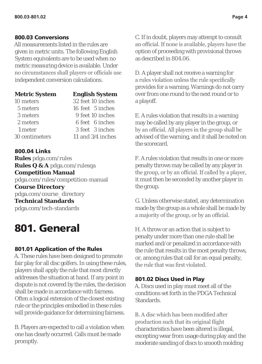#### 800.03 Conversions

All measurements listed in the rules are given in metric units. The following English System equivalents are to be used when no metric measuring device is available. Under no circumstances shall players or officials use independent conversion calculations.

| <b>Metric System</b> | <b>English System</b> |
|----------------------|-----------------------|
| 10 meters            | 32 feet 10 inches     |
| 5 meters             | 16 feet 5 inches      |
| 3 meters             | 9 feet 10 inches      |
| 2 meters             | 6 feet 6 inches       |
| 1 meter              | 3 feet 3 inches       |
| 30 centimeters       | 11 and 3/4 inches     |

#### 800.04 Links **Rules** pdga.com/rules **Rules Q & A** pdga.com/rulesqa **Competition Manual**  pdga.com/rules/competition-manual **Course Directory**  pdga.com/course\_directory **Technical Standards**  pdga.com/tech-standards

# 801. General

#### 801.01 Application of the Rules

A. These rules have been designed to promote fair play for all disc golfers. In using these rules, players shall apply the rule that most directly addresses the situation at hand. If any point in dispute is not covered by the rules, the decision shall be made in accordance with fairness. Often a logical extension of the closest existing rule or the principles embodied in these rules will provide guidance for determining fairness.

B. Players are expected to call a violation when one has clearly occurred. Calls must be made promptly.

C. If in doubt, players may attempt to consult an official. If none is available, players have the option of proceeding with provisional throws as described in 804.06.

D. A player shall not receive a warning for a rules violation unless the rule specifically provides for a warning. Warnings do not carry over from one round to the next round or to a playoff.

E. A rules violation that results in a warning may be called by any player in the group, or by an official. All players in the group shall be advised of the warning, and it shall be noted on the scorecard.

F. A rules violation that results in one or more penalty throws may be called by any player in the group, or by an official. If called by a player, it must then be seconded by another player in the group.

G. Unless otherwise stated, any determination made by the group as a whole shall be made by a majority of the group, or by an official.

H. A throw or an action that is subject to penalty under more than one rule shall be marked and/or penalized in accordance with the rule that results in the most penalty throws, or, among rules that call for an equal penalty, the rule that was first violated.

#### 801.02 Discs Used in Play

A. Discs used in play must meet all of the conditions set forth in the PDGA Technical **Standards** 

B. A disc which has been modified after production such that its original flight characteristics have been altered is illegal, excepting wear from usage during play and the moderate sanding of discs to smooth molding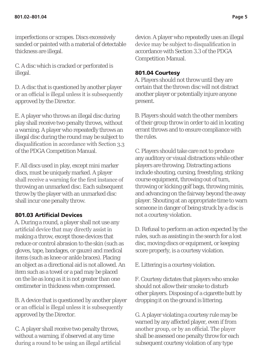imperfections or scrapes. Discs excessively sanded or painted with a material of detectable thickness are illegal.

C. A disc which is cracked or perforated is illegal.

D. A disc that is questioned by another player or an official is illegal unless it is subsequently approved by the Director.

E. A player who throws an illegal disc during play shall receive two penalty throws, without a warning. A player who repeatedly throws an illegal disc during the round may be subject to disqualification in accordance with Section 3.3 of the PDGA Competition Manual.

F. All discs used in play, except mini marker discs, must be uniquely marked. A player shall receive a warning for the first instance of throwing an unmarked disc. Each subsequent throw by the player with an unmarked disc shall incur one penalty throw.

#### 801.03 Artificial Devices

A. During a round, a player shall not use any artificial device that may directly assist in making a throw, except those devices that reduce or control abrasion to the skin (such as gloves, tape, bandages, or gauze) and medical items (such as knee or ankle braces). Placing an object as a directional aid is not allowed. An item such as a towel or a pad may be placed on the lie as long as it is not greater than one centimeter in thickness when compressed.

B. A device that is questioned by another player or an official is illegal unless it is subsequently approved by the Director.

C. A player shall receive two penalty throws, without a warning, if observed at any time during a round to be using an illegal artificial device. A player who repeatedly uses an illegal device may be subject to disqualification in accordance with Section 3.3 of the PDGA Competition Manual.

#### 801.04 Courtesy

A. Players should not throw until they are certain that the thrown disc will not distract another player or potentially injure anyone present.

B. Players should watch the other members of their group throw in order to aid in locating errant throws and to ensure compliance with the rules.

C. Players should take care not to produce any auditory or visual distractions while other players are throwing. Distracting actions include shouting, cursing, freestyling, striking course equipment, throwing out of turn, throwing or kicking golf bags, throwing minis, and advancing on the fairway beyond the away player. Shouting at an appropriate time to warn someone in danger of being struck by a disc is not a courtesy violation.

D. Refusal to perform an action expected by the rules, such as assisting in the search for a lost disc, moving discs or equipment, or keeping score properly, is a courtesy violation.

E. Littering is a courtesy violation.

F. Courtesy dictates that players who smoke should not allow their smoke to disturb other players. Disposing of a cigarette butt by dropping it on the ground is littering.

G. A player violating a courtesy rule may be warned by any affected player, even if from another group, or by an official. The player shall be assessed one penalty throw for each subsequent courtesy violation of any type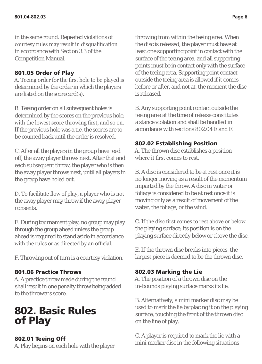in the same round. Repeated violations of courtesy rules may result in disqualification in accordance with Section 3.3 of the Competition Manual.

#### 801.05 Order of Play

A. Teeing order for the first hole to be played is determined by the order in which the players are listed on the scorecard(s).

B. Teeing order on all subsequent holes is determined by the scores on the previous hole, with the lowest score throwing first, and so on. If the previous hole was a tie, the scores are to be counted back until the order is resolved.

C. After all the players in the group have teed off, the away player throws next. After that and each subsequent throw, the player who is then the away player throws next, until all players in the group have holed out.

D. To facilitate flow of play, a player who is not the away player may throw if the away player consents.

E. During tournament play, no group may play through the group ahead unless the group ahead is required to stand aside in accordance with the rules or as directed by an official.

F. Throwing out of turn is a courtesy violation.

#### 801.06 Practice Throws

A. A practice throw made during the round shall result in one penalty throw being added to the thrower's score.

# 802. Basic Rules<br>of Play

#### 802.01 Teeing Off

A. Play begins on each hole with the player

throwing from within the teeing area. When the disc is released, the player must have at least one supporting point in contact with the surface of the teeing area, and all supporting points must be in contact only with the surface of the teeing area. Supporting point contact outside the teeing area is allowed if it comes before or after, and not at, the moment the disc is released.

B. Any supporting point contact outside the teeing area at the time of release constitutes a stance violation and shall be handled in accordance with sections 802.04 E and F.

#### 802.02 Establishing Position

A. The thrown disc establishes a position where it first comes to rest.

B. A disc is considered to be at rest once it is no longer moving as a result of the momentum imparted by the throw. A disc in water or foliage is considered to be at rest once it is moving only as a result of movement of the water, the foliage, or the wind.

C. If the disc first comes to rest above or below the playing surface, its position is on the playing surface directly below or above the disc.

E. If the thrown disc breaks into pieces, the largest piece is deemed to be the thrown disc.

#### 802.03 Marking the Lie

A. The position of a thrown disc on the in-bounds playing surface marks its lie.

B. Alternatively, a mini marker disc may be used to mark the lie by placing it on the playing surface, touching the front of the thrown disc on the line of play.

C. A player is required to mark the lie with a mini marker disc in the following situations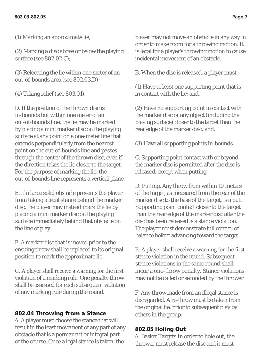(1) Marking an approximate lie;

(2) Marking a disc above or below the playing surface (see 802.02.C);

(3) Relocating the lie within one meter of an out-of-bounds area (see 802.03.D);

(4) Taking relief (see 803.01).

D. If the position of the thrown disc is in-bounds but within one meter of an out-of-bounds line, the lie may be marked by placing a mini marker disc on the playing surface at any point on a one-meter line that extends perpendicularly from the nearest point on the out-of-bounds line and passes through the center of the thrown disc, even if the direction takes the lie closer to the target. For the purpose of marking the lie, the out-of-bounds line represents a vertical plane.

E. If a large solid obstacle prevents the player from taking a legal stance behind the marker disc, the player may instead mark the lie by placing a mini marker disc on the playing surface immediately behind that obstacle on the line of play.

F. A marker disc that is moved prior to the ensuing throw shall be replaced to its original position to mark the approximate lie.

G. A player shall receive a warning for the first violation of a marking rule. One penalty throw shall be assessed for each subsequent violation of any marking rule during the round.

#### 802.04 Throwing from a Stance

A. A player must choose the stance that will result in the least movement of any part of any obstacle that is a permanent or integral part of the course. Once a legal stance is taken, the

player may not move an obstacle in any way in order to make room for a throwing motion. It is legal for a player's throwing motion to cause incidental movement of an obstacle.

B. When the disc is released, a player must

(1) Have at least one supporting point that is in contact with the lie; and,

(2) Have no supporting point in contact with the marker disc or any object (including the playing surface) closer to the target than the rear edge of the marker disc; and,

(3) Have all supporting points in-bounds.

C. Supporting point contact with or beyond the marker disc is permitted after the disc is released, except when putting.

D. Putting. Any throw from within 10 meters of the target, as measured from the rear of the marker disc to the base of the target, is a putt. Supporting point contact closer to the target than the rear edge of the marker disc after the disc has been released is a stance violation. The player must demonstrate full control of balance before advancing toward the target.

E. A player shall receive a warning for the first stance violation in the round. Subsequent stance violations in the same round shall incur a one-throw penalty. Stance violations may not be called or seconded by the thrower.

F. Any throw made from an illegal stance is disregarded. A re-throw must be taken from the original lie, prior to subsequent play by others in the group.

#### 802.05 Holing Out

A. Basket Targets In order to hole out, the thrower must release the disc and it must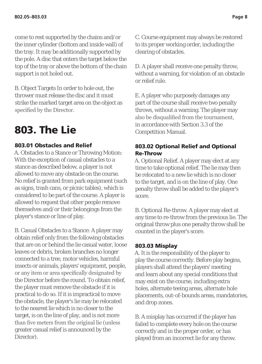come to rest supported by the chains and/or the inner cylinder (bottom and inside wall) of the tray. It may be additionally supported by the pole. A disc that enters the target below the top of the tray or above the bottom of the chain support is not holed out.

B. Object Targets In order to hole out, the thrower must release the disc and it must strike the marked target area on the object as specified by the Director.

# 803. The Lie

#### 803.01 Obstacles and Relief

A. Obstacles to a Stance or Throwing Motion: With the exception of casual obstacles to a stance as described below, a player is not allowed to move any obstacle on the course. No relief is granted from park equipment (such as signs, trash cans, or picnic tables), which is considered to be part of the course. A player is allowed to request that other people remove themselves and/or their belongings from the player's stance or line of play.

B. Casual Obstacles to a Stance: A player may obtain relief only from the following obstacles that are on or behind the lie casual water, loose leaves or debris, broken branches no longer connected to a tree, motor vehicles, harmful insects or animals, players' equipment, people, or any item or area specifically designated by the Director before the round. To obtain relief, the player must remove the obstacle if it is practical to do so. If it is impractical to move the obstacle, the player's lie may be relocated to the nearest lie which is no closer to the target, is on the line of play, and is not more than five meters from the original lie (unless greater casual relief is announced by the Director).

C. Course equipment may always be restored to its proper working order, including the clearing of obstacles.

D. A player shall receive one penalty throw, without a warning, for violation of an obstacle or relief rule.

E. A player who purposely damages any part of the course shall receive two penalty throws, without a warning. The player may also be disqualified from the tournament, in accordance with Section 3.3 of the Competition Manual.

#### 803.02 Optional Relief and Optional Re-Throw

A. Optional Relief. A player may elect at any time to take optional relief. The lie may then be relocated to a new lie which is no closer to the target, and is on the line of play. One penalty throw shall be added to the player's score.

B. Optional Re-throw. A player may elect at any time to re-throw from the previous lie. The original throw plus one penalty throw shall be counted in the player's score.

#### 803.03 Misplay

A. It is the responsibility of the player to play the course correctly. Before play begins, players shall attend the players' meeting and learn about any special conditions that may exist on the course, including extra holes, alternate teeing areas, alternate hole placements, out-of-bounds areas, mandatories, and drop zones.

B. A misplay has occurred if the player has failed to complete every hole on the course correctly and in the proper order, or has played from an incorrect lie for any throw.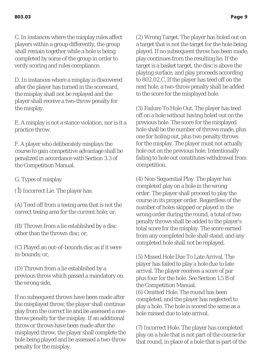C. In instances where the misplay rules affect players within a group differently, the group shall remain together while a hole is being completed by some of the group in order to verify scoring and rules compliance.

D. In instances where a misplay is discovered after the player has turned in the scorecard, the misplay shall not be replayed and the player shall receive a two-throw penalty for the misplay.

E. A misplay is not a stance violation, nor is it a practice throw.

F. A player who deliberately misplays the course to gain competitive advantage shall be penalized in accordance with Section 3.3 of the Competition Manual.

G. Types of misplay

(1) Incorrect Lie. The player has:

(A) Teed off from a teeing area that is not the correct teeing area for the current hole; or,

(B) Thrown from a lie established by a disc other than the thrown disc; or,

(C) Played an out-of-bounds disc as if it were in-bounds; or,

(D) Thrown from a lie established by a previous throw which passed a mandatory on the wrong side.

If no subsequent throws have been made after the misplayed throw, the player shall continue play from the correct lie and be assessed a onethrow penalty for the misplay. If an additional throw or throws have been made after the misplayed throw, the player shall complete the hole being played and be assessed a two-throw penalty for the misplay.

(2) Wrong Target. The player has holed out on a target that is not the target for the hole being played. If no subsequent throw has been made, play continues from the resulting lie. If the target is a basket target, the disc is above the playing surface, and play proceeds according to 802.02.C. If the player has teed off on the next hole, a two-throw penalty shall be added to the score for the misplayed hole.

(3) Failure To Hole Out. The player has teed off on a hole without having holed out on the previous hole. The score for the misplayed hole shall be the number of throws made, plus one for holing out, plus two penalty throws for the misplay. The player must not actually hole out on the previous hole. Intentionally failing to hole out constitutes withdrawal from competition.

(4) Non-Sequential Play. The player has completed play on a hole in the wrong order. The player shall proceed to play the course in its proper order. Regardless of the number of holes skipped or played in the wrong order during the round, a total of two penalty throws shall be added to the player's total score for the misplay. The score earned from any completed hole shall stand, and any completed hole shall not be replayed.

(5) Missed Hole Due To Late Arrival. The player has failed to play a hole due to late arrival. The player receives a score of par plus four for the hole. See Section 1.5 B of the Competition Manual. (6) Omitted Hole. The round has been completed, and the player has neglected to play a hole. The hole is scored the same as a hole missed due to late arrival.

(7) Incorrect Hole. The player has completed play on a hole that is not part of the course for that round, in place of a hole that is part of the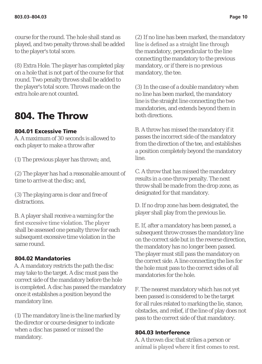course for the round. The hole shall stand as played, and two penalty throws shall be added to the player's total score.

(8) Extra Hole. The player has completed play on a hole that is not part of the course for that round. Two penalty throws shall be added to the player's total score. Throws made on the extra hole are not counted.

### 804. The Throw

#### 804.01 Excessive Time

A. A maximum of 30 seconds is allowed to each player to make a throw after

(1) The previous player has thrown; and,

(2) The player has had a reasonable amount of time to arrive at the disc; and,

(3) The playing area is clear and free of distractions.

B. A player shall receive a warning for the first excessive time violation. The player shall be assessed one penalty throw for each subsequent excessive time violation in the same round.

#### 804.02 Mandatories

A. A mandatory restricts the path the disc may take to the target. A disc must pass the correct side of the mandatory before the hole is completed. A disc has passed the mandatory once it establishes a position beyond the mandatory line.

(1) The mandatory line is the line marked by the director or course designer to indicate when a disc has passed or missed the mandatory.

(2) If no line has been marked, the mandatory line is defined as a straight line through the mandatory, perpendicular to the line connecting the mandatory to the previous mandatory, or if there is no previous mandatory, the tee.

(3) In the case of a double mandatory when no line has been marked, the mandatory line is the straight line connecting the two mandatories, and extends beyond them in both directions.

B. A throw has missed the mandatory if it passes the incorrect side of the mandatory from the direction of the tee, and establishes a position completely beyond the mandatory line.

C. A throw that has missed the mandatory results in a one-throw penalty. The next throw shall be made from the drop zone, as designated for that mandatory.

D. If no drop zone has been designated, the player shall play from the previous lie.

E. If, after a mandatory has been passed, a subsequent throw crosses the mandatory line on the correct side but in the reverse direction, the mandatory has no longer been passed. The player must still pass the mandatory on the correct side. A line connecting the lies for the hole must pass to the correct sides of all mandatories for the hole.

F. The nearest mandatory which has not yet been passed is considered to be the target for all rules related to marking the lie, stance, obstacles, and relief, if the line of play does not pass to the correct side of that mandatory.

#### 804.03 Interference

A. A thrown disc that strikes a person or animal is played where it first comes to rest.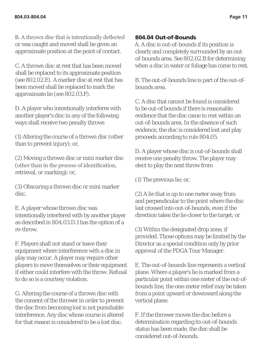B. A thrown disc that is intentionally deflected or was caught and moved shall be given an approximate position at the point of contact.

C. A thrown disc at rest that has been moved shall be replaced to its approximate position (see 802.02.E). A marker disc at rest that has been moved shall be replaced to mark the approximate lie (see 802.03.F).

D. A player who intentionally interferes with another player's disc in any of the following ways shall receive two penalty throws

(1) Altering the course of a thrown disc (other than to prevent injury); or,

(2) Moving a thrown disc or mini marker disc (other than in the process of identification, retrieval, or marking); or,

(3) Obscuring a thrown disc or mini marker disc.

E. A player whose thrown disc was intentionally interfered with by another player as described in 804.03.D.1 has the option of a re-throw.

F. Players shall not stand or leave their equipment where interference with a disc in play may occur. A player may require other players to move themselves or their equipment if either could interfere with the throw. Refusal to do so is a courtesy violation.

G. Altering the course of a thrown disc with the consent of the thrower in order to prevent the disc from becoming lost is not punishable interference. Any disc whose course is altered for that reason is considered to be a lost disc.

#### 804.04 Out-of-Bounds

A. A disc is out-of-bounds if its position is clearly and completely surrounded by an outof-bounds area. See 802.02.B for determining when a disc in water or foliage has come to rest.

B. The out-of-bounds line is part of the out-ofbounds area.

C. A disc that cannot be found is considered to be out-of bounds if there is reasonable evidence that the disc came to rest within an out-of-bounds area. In the absence of such evidence, the disc is considered lost and play proceeds according to rule 804.05.

D. A player whose disc is out-of-bounds shall receive one penalty throw. The player may elect to play the next throw from

(1) The previous lie; or,

(2) A lie that is up to one meter away from and perpendicular to the point where the disc last crossed into out-of-bounds, even if the direction takes the lie closer to the target; or

(3) Within the designated drop zone, if provided. Those options may be limited by the Director as a special condition only by prior approval of the PDGA Tour Manager.

E. The out-of-bounds line represents a vertical plane. Where a player's lie is marked from a particular point within one meter of the out-ofbounds line, the one-meter relief may be taken from a point upward or downward along the vertical plane.

F. If the thrower moves the disc before a determination regarding its out-of-bounds status has been made, the disc shall be considered out-of-bounds.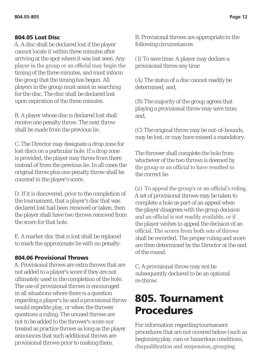#### 804.05 Lost Disc

A. A disc shall be declared lost if the player cannot locate it within three minutes after arriving at the spot where it was last seen. Any player in the group or an official may begin the timing of the three minutes, and must inform the group that the timing has begun. All players in the group must assist in searching for the disc. The disc shall be declared lost upon expiration of the three minutes.

B. A player whose disc is declared lost shall receive one penalty throw. The next throw shall be made from the previous lie.

C. The Director may designate a drop zone for lost discs on a particular hole. If a drop zone is provided, the player may throw from there instead of from the previous lie. In all cases the original throw plus one penalty throw shall be counted in the player's score.

D. If it is discovered, prior to the completion of the tournament, that a player's disc that was declared lost had been removed or taken, then the player shall have two throws removed from the score for that hole.

E. A marker disc that is lost shall be replaced to mark the approximate lie with no penalty.

#### 804.06 Provisional Throws

A. Provisional throws are extra throws that are not added to a player's score if they are not ultimately used in the completion of the hole. The use of provisional throws is encouraged in all situations where there is a question regarding a player's lie and a provisional throw would expedite play, or when the thrower questions a ruling. The unused throws are not to be added to the thrower's score nor treated as practice throws as long as the player announces that such additional throws are provisional throws prior to making them.

B. Provisional throws are appropriate in the following circumstances

(1) To save time. A player may declare a provisional throw any time

(A) The status of a disc cannot readily be determined; and

(B) The majority of the group agrees that playing a provisional throw may save time; and,

(C) The original throw may be out-of-bounds, may be lost, or may have missed a mandatory.

The thrower shall complete the hole from whichever of the two throws is deemed by the group or an official to have resulted in the correct lie.

(2) To appeal the group's or an official's ruling. A set of provisional throws may be taken to complete a hole as part of an appeal when the player disagrees with the group decision and an official is not readily available, or if the player wishes to appeal the decision of an official. The scores from both sets of throws shall be recorded. The proper ruling and score are then determined by the Director at the end of the round.

C. A provisional throw may not be subsequently declared to be an optional re-throw.

## 805. Tournament Procedures

For information regarding tournament procedures that are not covered below (such as beginning play, rain or hazardous conditions, disqualification and suspension, grouping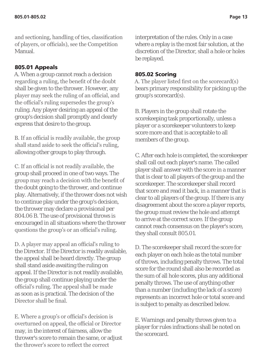and sectioning, handling of ties, classification of players, or officials), see the Competition Manual.

#### 805.01 Appeals

A. When a group cannot reach a decision regarding a ruling, the benefit of the doubt shall be given to the thrower. However, any player may seek the ruling of an official, and the official's ruling supersedes the group's ruling. Any player desiring an appeal of the group's decision shall promptly and clearly express that desire to the group.

B. If an official is readily available, the group shall stand aside to seek the official's ruling, allowing other groups to play through.

C. If an official is not readily available, the group shall proceed in one of two ways. The group may reach a decision with the benefit of the doubt going to the thrower, and continue play. Alternatively, if the thrower does not wish to continue play under the group's decision, the thrower may declare a provisional per 804.06 B. The use of provisional throws is encouraged in all situations where the thrower questions the group's or an official's ruling.

D. A player may appeal an official's ruling to the Director. If the Director is readily available, the appeal shall be heard directly. The group shall stand aside awaiting the ruling on appeal. If the Director is not readily available, the group shall continue playing under the official's ruling. The appeal shall be made as soon as is practical. The decision of the Director shall be final.

E. Where a group's or official's decision is overturned on appeal, the official or Director may, in the interest of fairness, allow the thrower's score to remain the same, or adjust the thrower's score to reflect the correct

interpretation of the rules. Only in a case where a replay is the most fair solution, at the discretion of the Director, shall a hole or holes be replayed.

#### 805.02 Scoring

A. The player listed first on the scorecard(s) bears primary responsibility for picking up the group's scorecard(s).

B. Players in the group shall rotate the scorekeeping task proportionally, unless a player or a scorekeeper volunteers to keep score more and that is acceptable to all members of the group.

C. After each hole is completed, the scorekeeper shall call out each player's name. The called player shall answer with the score in a manner that is clear to all players of the group and the scorekeeper. The scorekeeper shall record that score and read it back, in a manner that is clear to all players of the group. If there is any disagreement about the score a player reports, the group must review the hole and attempt to arrive at the correct score. If the group cannot reach consensus on the player's score, they shall consult 805.01.

D. The scorekeeper shall record the score for each player on each hole as the total number of throws, including penalty throws. The total score for the round shall also be recorded as the sum of all hole scores, plus any additional penalty throws. The use of anything other than a number (including the lack of a score) represents an incorrect hole or total score and is subject to penalty as described below.

E. Warnings and penalty throws given to a player for rules infractions shall be noted on the scorecard.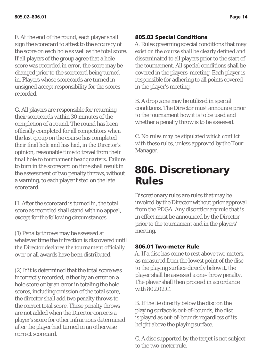F. At the end of the round, each player shall sign the scorecard to attest to the accuracy of the score on each hole as well as the total score. If all players of the group agree that a hole score was recorded in error, the score may be changed prior to the scorecard being turned in. Players whose scorecards are turned in unsigned accept responsibility for the scores recorded.

G. All players are responsible for returning their scorecards within 30 minutes of the completion of a round. The round has been officially completed for all competitors when the last group on the course has completed their final hole and has had, in the Director's opinion, reasonable time to travel from their final hole to tournament headquarters. Failure to turn in the scorecard on time shall result in the assessment of two penalty throws, without a warning, to each player listed on the late scorecard.

H. After the scorecard is turned in, the total score as recorded shall stand with no appeal, except for the following circumstances

(1) Penalty throws may be assessed at whatever time the infraction is discovered until the Director declares the tournament officially over or all awards have been distributed.

(2) If it is determined that the total score was incorrectly recorded, either by an error on a hole score or by an error in totaling the hole scores, including omission of the total score, the director shall add two penalty throws to the correct total score. These penalty throws are not added when the Director corrects a player's score for other infractions determined after the player had turned in an otherwise correct scorecard.

#### 805.03 Special Conditions

A. Rules governing special conditions that may exist on the course shall be clearly defined and disseminated to all players prior to the start of the tournament. All special conditions shall be covered in the players' meeting. Each player is responsible for adhering to all points covered in the player's meeting.

B. A drop zone may be utilized in special conditions. The Director must announce prior to the tournament how it is to be used and whether a penalty throw is to be assessed.

C. No rules may be stipulated which conflict with these rules, unless approved by the Tour Manager.

## 806. Discretionary Rules

Discretionary rules are rules that may be invoked by the Director without prior approval from the PDGA. Any discretionary rule that is in effect must be announced by the Director prior to the tournament and in the players' meeting.

#### 806.01 Two-meter Rule

A. If a disc has come to rest above two meters, as measured from the lowest point of the disc to the playing surface directly below it, the player shall be assessed a one-throw penalty. The player shall then proceed in accordance with 802.02.C.

B. If the lie directly below the disc on the playing surface is out-of-bounds, the disc is played as out-of-bounds regardless of its height above the playing surface.

C. A disc supported by the target is not subject to the two-meter rule.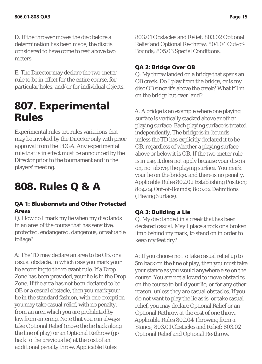D. If the thrower moves the disc before a determination has been made, the disc is considered to have come to rest above two meters.

E. The Director may declare the two-meter rule to be in effect for the entire course, for particular holes, and/or for individual objects.

## 807. Experimental Rules

Experimental rules are rules variations that may be invoked by the Director only with prior approval from the PDGA. Any experimental rule that is in effect must be announced by the Director prior to the tournament and in the players' meeting.

# 808. Rules Q & A

#### QA 1: Bluebonnets and Other Protected Areas

Q: How do I mark my lie when my disc lands in an area of the course that has sensitive, protected, endangered, dangerous, or valuable foliage?

A: The TD may declare an area to be OB, or a casual obstacle, in which case you mark your lie according to the relevant rule. If a Drop Zone has been provided, your lie is in the Drop Zone. If the area has not been declared to be OB or a casual obstacle, then you mark your lie in the standard fashion, with one exception you may take casual relief, with no penalty, from an area which you are prohibited by law from entering. Note that you can always take Optional Relief (move the lie back along the line of play) or an Optional Rethrow (go back to the previous lie) at the cost of an additional penalty throw. Applicable Rules

803.01 Obstacles and Relief; 803.02 Optional Relief and Optional Re-throw; 804.04 Out-of-Bounds; 805.03 Special Conditions.

#### QA 2: Bridge Over OB

Q: My throw landed on a bridge that spans an OB creek. Do I play from the bridge, or is my disc OB since it's above the creek? What if I'm on the bridge but over land?

A: A bridge is an example where one playing surface is vertically stacked above another playing surface. Each playing surface is treated independently. The bridge is in-bounds unless the TD has explicitly declared it to be OB, regardless of whether a playing surface above or below it is OB. If the two-meter rule is in use, it does not apply because your disc is on, not above, the playing surface. You mark your lie on the bridge, and there is no penalty. Applicable Rules 802.02 Establishing Position; 804.04 Out-of-Bounds; 800.02 Definitions (Playing Surface).

#### QA 3: Building a Lie

Q: My disc landed in a creek that has been declared casual. May I place a rock or a broken limb behind my mark, to stand on in order to keep my feet dry?

A: If you choose not to take casual relief up to 5m back on the line of play, then you must take your stance as you would anywhere else on the course. You are not allowed to move obstacles on the course to build your lie, or for any other reason, unless they are casual obstacles. If you do not want to play the lie as is, or take casual relief, you may declare Optional Relief or an Optional Rethrow at the cost of one throw. Applicable Rules 802.04 Throwing from a Stance: 803.01 Obstacles and Relief: 803.02 Optional Relief and Optional Re-throw.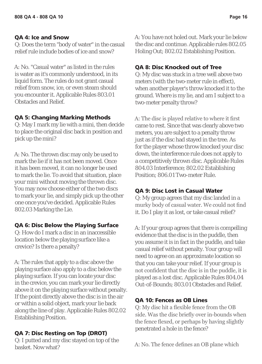#### QA 4: Ice and Snow

Q: Does the term "body of water" in the casual relief rule include bodies of ice and snow?

A: No. "Casual water" as listed in the rules is water as it's commonly understood, in its liquid form. The rules do not grant casual relief from snow, ice, or even steam should you encounter it. Applicable Rules 803.01 Obstacles and Relief.

#### QA 5: Changing Marking Methods

Q: May I mark my lie with a mini, then decide to place the original disc back in position and pick up the mini?

A: No. The thrown disc may only be used to mark the lie if it has not been moved. Once it has been moved, it can no longer be used to mark the lie. To avoid that situation, place your mini without moving the thrown disc. You may now choose either of the two discs to mark your lie, and simply pick up the other one once you've decided. Applicable Rules 802.03 Marking the Lie.

#### QA 6: Disc Below the Playing Surface

Q: How do I mark a disc in an inaccessible location below the playing surface like a crevice? Is there a penalty?

A: The rules that apply to a disc above the playing surface also apply to a disc below the playing surface. If you can locate your disc in the crevice, you can mark your lie directly above it on the playing surface without penalty. If the point directly above the disc is in the air or within a solid object, mark your lie back along the line of play. Applicable Rules 802.02 Establishing Position.

#### QA 7: Disc Resting on Top (DROT)

Q: I putted and my disc stayed on top of the basket. Now what?

A: You have not holed out. Mark your lie below the disc and continue. Applicable rules 802.05 Holing Out; 802.02 Establishing Position.

#### QA 8: Disc Knocked out of Tree

Q: My disc was stuck in a tree well above two meters (with the two-meter rule in effect), when another player's throw knocked it to the ground. Where is my lie, and am I subject to a two-meter penalty throw?

A: The disc is played relative to where it first came to rest. Since that was clearly above two meters, you are subject to a penalty throw just as if the disc had stayed in the tree. As for the player whose throw knocked your disc down, the interference rule does not apply to a competitively thrown disc. Applicable Rules 804.03 Interference; 802.02 Establishing Position; 806.01 Two-meter Rule.

#### QA 9: Disc Lost in Casual Water

Q: My group agrees that my disc landed in a murky body of casual water. We could not find it. Do I play it as lost, or take casual relief?

A: If your group agrees that there is compelling evidence that the disc is in the puddle, then you assume it is in fact in the puddle, and take casual relief without penalty. Your group will need to agree on an approximate location so that you can take your relief. If your group is not confident that the disc is in the puddle, it is played as a lost disc. Applicable Rules 804.04 Out-of-Bounds; 803.01 Obstacles and Relief.

#### QA 10: Fences as OB Lines

Q: My disc hit a flexible fence from the OB side. Was the disc briefly over in-bounds when the fence flexed, or perhaps by having slightly penetrated a hole in the fence?

A: No. The fence defines an OB plane which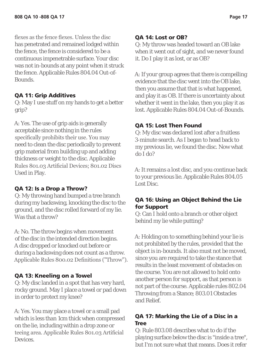flexes as the fence flexes. Unless the disc has penetrated and remained lodged within the fence, the fence is considered to be a continuous impenetrable surface. Your disc was not in-bounds at any point when it struck the fence. Applicable Rules 804.04 Out-of-Bounds.

#### QA 11: Grip Additives

Q: May I use stuff on my hands to get a better grip?

A: Yes. The use of grip aids is generally acceptable since nothing in the rules specifically prohibits their use. You may need to clean the disc periodically to prevent grip material from building up and adding thickness or weight to the disc. Applicable Rules 801.03 Artificial Devices; 801.02 Discs Used in Play.

#### QA 12: Is a Drop a Throw?

Q: My throwing hand bumped a tree branch during my backswing, knocking the disc to the ground, and the disc rolled forward of my lie. Was that a throw?

A: No. The throw begins when movement of the disc in the intended direction begins. A disc dropped or knocked out before or during a backswing does not count as a throw. Applicable Rules 800.02 Definitions ("Throw").

#### QA 13: Kneeling on a Towel

Q: My disc landed in a spot that has very hard, rocky ground. May I place a towel or pad down in order to protect my knee?

A: Yes. You may place a towel or a small pad which is less than 1cm thick when compressed on the lie, including within a drop zone or teeing area. Applicable Rules 801.03 Artificial Devices.

#### QA 14: Lost or OB?

Q: My throw was headed toward an OB lake when it went out of sight, and we never found it. Do I play it as lost, or as OB?

A: If your group agrees that there is compelling evidence that the disc went into the OB lake, then you assume that that is what happened, and play it as OB. If there is uncertainty about whether it went in the lake, then you play it as lost. Applicable Rules 804.04 Out-of-Bounds.

#### QA 15: Lost Then Found

Q: My disc was declared lost after a fruitless 3-minute search. As I began to head back to my previous lie, we found the disc. Now what do I do?

A: It remains a lost disc, and you continue back to your previous lie. Applicable Rules 804.05 Lost Disc.

#### QA 16: Using an Object Behind the Lie for Support

Q: Can I hold onto a branch or other object behind my lie while putting?

A: Holding on to something behind your lie is not prohibited by the rules, provided that the object is in-bounds. It also must not be moved, since you are required to take the stance that results in the least movement of obstacles on the course. You are not allowed to hold onto another person for support, as that person is not part of the course. Applicable rules 802.04 Throwing from a Stance; 803.01 Obstacles and Relief.

#### QA 17: Marking the Lie of a Disc in a Tree

Q: Rule 803.08 describes what to do if the playing surface below the disc is "inside a tree", but I'm not sure what that means. Does it refer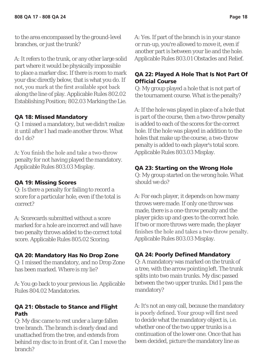to the area encompassed by the ground-level branches, or just the trunk?

A: It refers to the trunk, or any other large solid part where it would be physically impossible to place a marker disc. If there is room to mark your disc directly below, that is what you do. If not, you mark at the first available spot back along the line of play. Applicable Rules 802.02 Establishing Position; 802.03 Marking the Lie.

#### QA 18: Missed Mandatory

Q: I missed a mandatory, but we didn't realize it until after I had made another throw. What do I do?

A: You finish the hole and take a two-throw penalty for not having played the mandatory. Applicable Rules 803.03 Misplay.

#### QA 19: Missing Scores

Q: Is there a penalty for failing to record a score for a particular hole, even if the total is correct?

A: Scorecards submitted without a score marked for a hole are incorrect and will have two penalty throws added to the correct total score. Applicable Rules 805.02 Scoring.

#### QA 20: Mandatory Has No Drop Zone

Q: I missed the mandatory, and no Drop Zone has been marked. Where is my lie?

A: You go back to your previous lie. Applicable Rules 804.02 Mandatories.

#### QA 21: Obstacle to Stance and Flight Path

Q: My disc came to rest under a large fallen tree branch. The branch is clearly dead and unattached from the tree, and extends from behind my disc to in front of it. Can I move the branch?

A: Yes. If part of the branch is in your stance or run-up, you're allowed to move it, even if another part is between your lie and the hole. Applicable Rules 803.01 Obstacles and Relief.

#### QA 22: Played A Hole That Is Not Part Of Official Course

Q: My group played a hole that is not part of the tournament course. What is the penalty?

A: If the hole was played in place of a hole that is part of the course, then a two-throw penalty is added to each of the scores for the correct hole. If the hole was played in addition to the holes that make up the course, a two-throw penalty is added to each player's total score. Applicable Rules 803.03 Misplay.

#### QA 23: Starting on the Wrong Hole

Q: My group started on the wrong hole. What should we do?

A: For each player, it depends on how many throws were made. If only one throw was made, there is a one-throw penalty and the player picks up and goes to the correct hole. If two or more throws were made, the player finishes the hole and takes a two-throw penalty. Applicable Rules 803.03 Misplay.

#### QA 24: Poorly Defined Mandatory

Q: A mandatory was marked on the trunk of a tree, with the arrow pointing left. The trunk splits into two main trunks. My disc passed between the two upper trunks. Did I pass the mandatory?

A: It's not an easy call, because the mandatory is poorly defined. Your group will first need to decide what the mandatory object is, i.e. whether one of the two upper trunks is a continuation of the lower one. Once that has been decided, picture the mandatory line as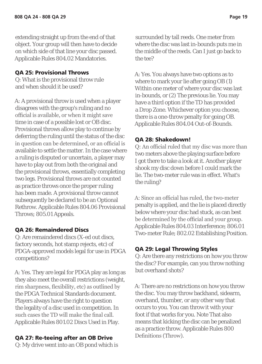extending straight up from the end of that object. Your group will then have to decide on which side of that line your disc passed. Applicable Rules 804.02 Mandatories.

#### QA 25: Provisional Throws

Q: What is the provisional throw rule and when should it be used?

A: A provisional throw is used when a player disagrees with the group's ruling and no official is available, or when it might save time in case of a possible lost or OB disc. Provisional throws allow play to continue by deferring the ruling until the status of the disc in question can be determined, or an official is available to settle the matter. In the case where a ruling is disputed or uncertain, a player may have to play out from both the original and the provisional throws, essentially completing two legs. Provisional throws are not counted as practice throws once the proper ruling has been made. A provisional throw cannot subsequently be declared to be an Optional Rethrow. Applicable Rules 804.06 Provisional Throws; 805.01 Appeals.

#### QA 26: Remaindered Discs

Q: Are remaindered discs (X-ed out discs, factory seconds, hot stamp rejects, etc) of PDGA-approved models legal for use in PDGA competitions?

A: Yes. They are legal for PDGA play as long as they also meet the overall restrictions (weight, rim sharpness, flexibility, etc) as outlined by the PDGA Technical Standards document. Players always have the right to question the legality of a disc used in competition. In such cases the TD will make the final call. Applicable Rules 801.02 Discs Used in Play.

#### QA 27: Re-teeing after an OB Drive

Q: My drive went into an OB pond which is

surrounded by tall reeds. One meter from where the disc was last in-bounds puts me in the middle of the reeds. Can I just go back to the tee?

A: Yes. You always have two options as to where to mark your lie after going OB (1) Within one meter of where your disc was last in-bounds, or (2) The previous lie. You may have a third option if the TD has provided a Drop Zone. Whichever option you choose, there is a one-throw penalty for going OB. Applicable Rules 804.04 Out-of-Bounds.

#### QA 28: Shakedown!

Q: An official ruled that my disc was more than two meters above the playing surface before I got there to take a look at it. Another player shook my disc down before I could mark the lie. The two-meter rule was in effect. What's the ruling?

A: Since an official has ruled, the two-meter penalty is applied, and the lie is placed directly below where your disc had stuck, as can best be determined by the official and your group. Applicable Rules 804.03 Interference; 806.01 Two-meter Rule; 802.02 Establishing Position.

#### QA 29: Legal Throwing Styles

Q: Are there any restrictions on how you throw the disc? For example, can you throw nothing but overhand shots?

A: There are no restrictions on how you throw the disc. You may throw backhand, sidearm, overhand, thumber, or any other way that occurs to you. You can throw it with your foot if that works for you. Note That also means that kicking the disc can be penalized as a practice throw. Applicable Rules 800 Definitions (Throw).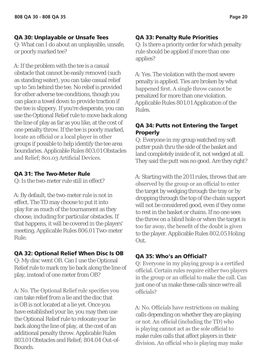#### QA 30: Unplayable or Unsafe Tees

Q: What can I do about an unplayable, unsafe, or poorly marked tee?

A: If the problem with the tee is a casual obstacle that cannot be easily removed (such as standing water), you can take casual relief up to 5m behind the tee. No relief is provided for other adverse tee conditions, though you can place a towel down to provide traction if the tee is slippery. If you're desperate, you can use the Optional Relief rule to move back along the line of play as far as you like, at the cost of one penalty throw. If the tee is poorly marked, locate an official or a local player in other groups if possible to help identify the tee area boundaries. Applicable Rules 803.01 Obstacles and Relief; 801.03 Artificial Devices.

#### QA 31: The Two-Meter Rule

Q: Is the two-meter rule still in effect?

A: By default, the two-meter rule is not in effect. The TD may choose to put it into play for as much of the tournament as they choose, including for particular obstacles. If that happens, it will be covered in the players' meeting. Applicable Rules 806.01 Two-meter Rule.

#### QA 32: Optional Relief When Disc Is OB

Q: My disc went OB. Can I use the Optional Relief rule to mark my lie back along the line of play, instead of one meter from OB?

A: No. The Optional Relief rule specifies you can take relief from a lie and the disc that is OB is not located at a lie yet. Once you have established your lie, you may then use the Optional Relief rule to relocate your lie back along the line of play, at the cost of an additional penalty throw. Applicable Rules 803.01 Obstacles and Relief; 804.04 Out-of-Bounds.

#### QA 33: Penalty Rule Priorities

Q: Is there a priority order for which penalty rule should be applied if more than one applies?

A: Yes. The violation with the most severe penalty is applied. Ties are broken by what happened first. A single throw cannot be penalized for more than one violation. Applicable Rules 801.01 Application of the Rules.

#### QA 34: Putts not Entering the Target Properly

Q: Everyone in my group watched my soft putter push thru the side of the basket and land completely inside of it, not wedged at all. They said the putt was no good. Are they right?

A: Starting with the 2011 rules, throws that are observed by the group or an official to enter the target by wedging through the tray or by dropping through the top of the chain support will not be considered good, even if they come to rest in the basket or chains. If no one sees the throw on a blind hole or when the target is too far away, the benefit of the doubt is given to the player. Applicable Rules 802.05 Holing Out.

#### QA 35: Who's an Official?

Q: Everyone in my playing group is a certified official. Certain rules require either two players in the group or an official to make the call. Can just one of us make these calls since we're all officials?

A: No. Officials have restrictions on making calls depending on whether they are playing or not. An official (including the TD) who is playing cannot act as the sole official to make rules calls that affect players in their division. An official who is playing may make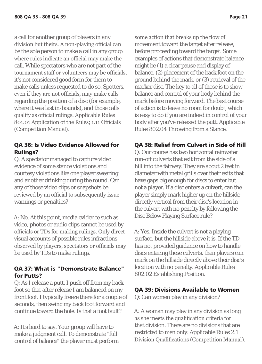a call for another group of players in any division but theirs. A non-playing official can be the sole person to make a call in any group where rules indicate an official may make the call. While spectators who are not part of the tournament staff or volunteers may be officials, it's not considered good form for them to make calls unless requested to do so. Spotters, even if they are not officials, may make calls regarding the position of a disc (for example, where it was last in-bounds), and those calls qualify as official rulings. Applicable Rules 801.01 Application of the Rules; 1.11 Officials (Competition Manual).

#### QA 36: Is Video Evidence Allowed for Rulings?

Q: A spectator managed to capture video evidence of some stance violations and courtesy violations like one player swearing and another drinking during the round. Can any of those video clips or snapshots be reviewed by an official to subsequently issue warnings or penalties?

A: No. At this point, media evidence such as video, photos or audio clips cannot be used by officials or TDs for making rulings. Only direct visual accounts of possible rules infractions observed by players, spectators or officials may be used by TDs to make rulings.

#### QA 37: What is "Demonstrate Balance" for Putts?

Q: As I release a putt, I push off from my back foot so that after release I am balanced on my front foot. I typically freeze there for a couple of seconds, then swing my back foot forward and continue toward the hole. Is that a foot fault?

A: It's hard to say. Your group will have to make a judgment call. To demonstrate "full control of balance" the player must perform some action that breaks up the flow of movement toward the target after release, before proceeding toward the target. Some examples of actions that demonstrate balance might be (1) a clear pause and display of balance, (2) placement of the back foot on the ground behind the mark, or (3) retrieval of the marker disc. The key to all of those is to show balance and control of your body behind the mark before moving forward. The best course of action is to leave no room for doubt, which is easy to do if you are indeed in control of your body after you've released the putt. Applicable Rules 802.04 Throwing from a Stance.

#### QA 38: Relief from Culvert in Side of Hill

Q: Our course has two horizontal rainwater run-off culverts that exit from the side of a hill into the fairway. They are about 2 feet in diameter with metal grills over their exits that have gaps big enough for discs to enter but not a player. If a disc enters a culvert, can the player simply mark higher up on the hillside directly vertical from their disc's location in the culvert with no penalty by following the Disc Below Playing Surface rule?

A: Yes. Inside the culvert is not a playing surface, but the hillside above it is. If the TD has not provided guidance on how to handle discs entering these culverts, then players can mark on the hillside directly above their disc's location with no penalty. Applicable Rules 802.02 Establishing Position.

#### QA 39: Divisions Available to Women

Q: Can women play in any division?

A: A woman may play in any division as long as she meets the qualification criteria for that division. There are no divisions that are restricted to men only. Applicable Rules 2.1 Division Qualifications (Competition Manual).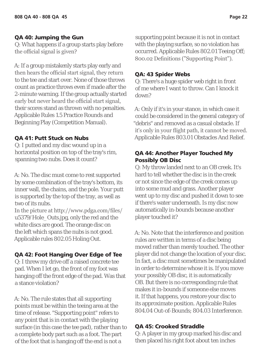#### QA 40: Jumping the Gun

Q: What happens if a group starts play before the official signal is given?

A: If a group mistakenly starts play early and then hears the official start signal, they return to the tee and start over. None of those throws count as practice throws even if made after the 2-minute warning. If the group actually started early but never heard the official start signal, their scores stand as thrown with no penalties. Applicable Rules 1.5 Practice Rounds and Beginning Play (Competition Manual).

#### QA 41: Putt Stuck on Nubs

Q: I putted and my disc wound up in a horizontal position on top of the tray's rim, spanning two nubs. Does it count?

A: No. The disc must come to rest supported by some combination of the tray's bottom, its inner wall, the chains, and the pole. Your putt is supported by the top of the tray, as well as two of its nubs.

In the picture at http://www.pdga.com/files/ u5379/Hole\_Outs.jpg, only the red and the white discs are good. The orange disc on the left which spans the nubs is not good. Applicable rules 802.05 Holing Out.

#### QA 42: Foot Hanging Over Edge of Tee

Q: I threw my drive off a raised concrete tee pad. When I let go, the front of my foot was hanging off the front edge of the pad. Was that a stance violation?

A: No. The rule states that all supporting points must be within the teeing area at the time of release. "Supporting point" refers to any point that is in contact with the playing surface (in this case the tee pad), rather than to a complete body part such as a foot. The part of the foot that is hanging off the end is not a

supporting point because it is not in contact with the playing surface, so no violation has occurred. Applicable Rules 802.01 Teeing Off; 800.02 Definitions ("Supporting Point").

#### QA: 43 Spider Webs

Q: There's a huge spider web right in front of me where I want to throw. Can I knock it down?

A: Only if it's in your stance, in which case it could be considered in the general category of "debris" and removed as a casual obstacle. If it's only in your flight path, it cannot be moved. Applicable Rules 803.01 Obstacles And Relief.

#### QA 44: Another Player Touched My Possibly OB Disc

Q: My throw landed next to an OB creek. It's hard to tell whether the disc is in the creek or not since the edge of the creek comes up into some mud and grass. Another player went up to my disc and pushed it down to see if there's water underneath. Is my disc now automatically in-bounds because another player touched it?

A: No. Note that the interference and position rules are written in terms of a disc being moved rather than merely touched. The other player did not change the location of your disc. In fact, a disc must sometimes be manipulated in order to determine whose it is. If you move your possibly OB disc, it is automatically OB. But there is no corresponding rule that makes it in-bounds if someone else moves it. If that happens, you restore your disc to its approximate position. Applicable Rules 804.04 Out-of-Bounds; 804.03 Interference.

#### QA 45: Crooked Straddle

Q: A player in my group marked his disc and then placed his right foot about ten inches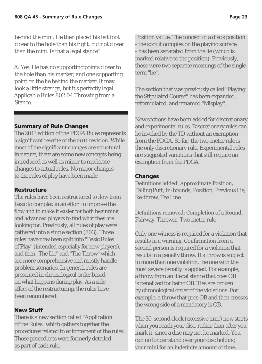behind the mini. He then placed his left foot closer to the hole than his right, but not closer than the mini. Is that a legal stance?

A: Yes. He has no supporting points closer to the hole than his marker, and one supporting point on the lie behind the marker. It may look a little strange, but it's perfectly legal. Applicable Rules 802.04 Throwing from a Stance.

#### Summary of Rule Changes

The 2013 edition of the PDGA Rules represents a significant rewrite of the 2011 revision. While most of the significant changes are structural in nature, there are some new concepts being introduced as well as minor to moderate changes to actual rules. No major changes to the rules of play have been made.

#### Restructure

The rules have been restructured to flow from basic to complex in an effort to improve the flow and to make it easier for both beginning and advanced players to find what they are looking for. Previously, all rules of play were gathered into a single section (803). Those rules have now been split into "Basic Rules of Play" (intended especially for new players), and then "The Lie" and "The Throw" which are more comprehensive and mostly handle problem scenarios. In general, rules are presented in chronological order based on what happens during play. As a side effect of the restructuring, the rules have been renumbered.

#### New Stuff

There is a new section called "Application of the Rules" which gathers together the procedures related to enforcement of the rules. Those procedures were formerly detailed as part of each rule.

Position vs Lie: The concept of a disc's position - the spot it occupies on the playing surface - has been separated from the lie (which is marked relative to the position). Previously, those were two separate meanings of the single term "lie".

The section that was previously called "Playing the Stipulated Course" has been expanded, reformulated, and renamed "Misplay".

New sections have been added for discretionary and experimental rules. Discretionary rules can be invoked by the TD without an exemption from the PDGA. So far, the two-meter rule is the only discretionary rule. Experimental rules are suggested variations that still require an exemption from the PDGA.

#### Changes

Definitions added: Approximate Position, Falling Putt, In-bounds, Position, Previous Lie, Re-throw, Tee Line

Definitions removed: Completion of a Round, Fairway, Thrower, Two meter rule

Only one witness is required for a violation that results in a warning. Confirmation from a second person is required for a violation that results in a penalty throw. If a throw is subject to more than one violation, the one with the most severe penalty is applied. For example, a throw from an illegal stance that goes OB is penalized for being OB. Ties are broken by chronological order of the violations. For example, a throw that goes OB and then crosses the wrong side of a mandatory is OB.

The 30-second clock (excessive time) now starts when you reach your disc, rather than after you mark it, since a disc may not be marked. You can no longer stand over your disc holding your mini for an indefinite amount of time.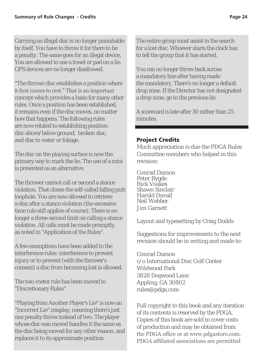Carrying an illegal disc is no longer punishable by itself. You have to throw it for there to be a penalty. The same goes for an illegal device. You are allowed to use a towel or pad on a lie. GPS devices are no longer disallowed.

"The thrown disc establishes a position where it first comes to rest." That is an important concept which provides a basis for many other rules. Once a position has been established, it remains even if the disc moves, no matter how that happens. The following rules are now related to establishing position: disc above/below ground, broken disc, and disc in water or foliage.

The disc on the playing surface is now the primary way to mark the lie. The use of a mini is presented as an alternative.

The thrower cannot call or second a stance violation. That closes the self-called falling putt loophole. You are now allowed to retrieve a disc after a stance violation (the excessive time rule still applies of course). There is no longer a three-second limit on calling a stance violation. All calls must be made promptly, as noted in "Application of the Rules".

A few exemptions have been added to the interference rules: interference to prevent injury or to prevent (with the thrower's consent) a disc from becoming lost is allowed.

The two-meter rule has been moved to "Discretionary Rules".

"Playing from Another Player's Lie" is now an "Incorrect Lie" misplay, meaning there's just one penalty throw instead of two. The player whose disc was moved handles it the same as the disc being moved for any other reason, and replaces it to its approximate position.

The entire group must assist in the search for a lost disc. Whoever starts the clock has to tell the group that it has started.

You can no longer throw back across a mandatory line after having made the mandatory. There's no longer a default drop zone. If the Director has not designated a drop zone, go to the previous lie.

A scorecard is late after 30 rather than 25 minutes.

#### Project Credits

Much appreciation is due the PDGA Rules Committee members who helped in this revision:

Conrad Damon Peter Bygde Rick Voakes Shawn Sinclair Harold Duvall Neil Webber Jim Garnett

Layout and typesetting by Craig Dodds

Suggestions for improvements to the next revision should be in writing and made to:

Conrad Damon c/o International Disc Golf Center Wildwood Park 3828 Dogwood Lane Appling, GA 30802 rules@pdga.com

Full copyright to this book and any iteration of its contents is reserved by the PDGA. Copies of this book are sold to cover costs of production and may be obtained from the PDGA office or at www.pdgastore.com. PDGA affiliated associations are permitted